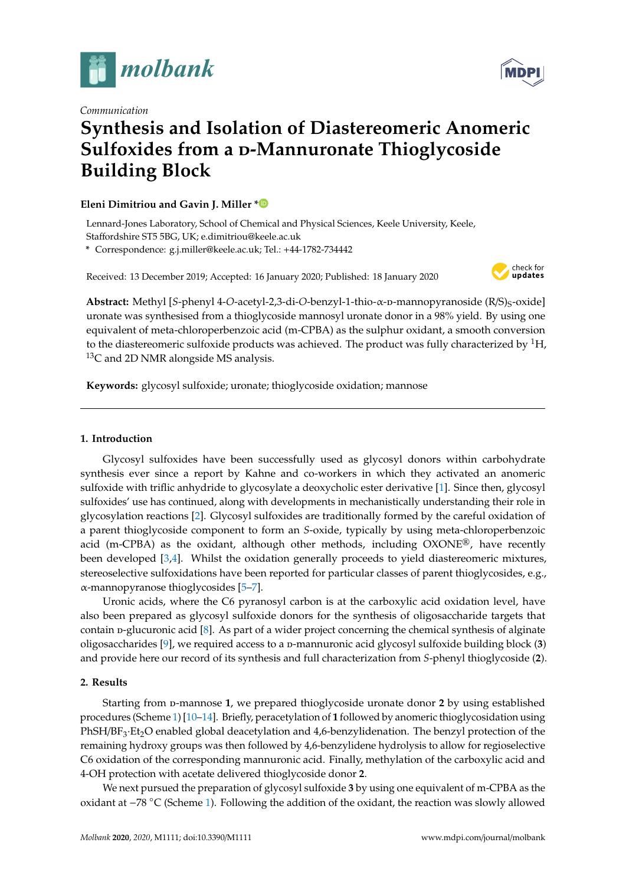

*Communication*

# **MDP**

## **Synthesis and Isolation of Diastereomeric Anomeric Sulfoxides from a D-Mannuronate Thioglycoside Building Block**

#### **Eleni Dimitriou and Gavin J. Miller [\\*](https://orcid.org/0000-0001-6533-3306)**

Lennard-Jones Laboratory, School of Chemical and Physical Sciences, Keele University, Keele, Staffordshire ST5 5BG, UK; e.dimitriou@keele.ac.uk

**\*** Correspondence: g.j.miller@keele.ac.uk; Tel.: +44-1782-734442

Received: 13 December 2019; Accepted: 16 January 2020; Published: 18 January 2020



Abstract: Methyl [*S*-phenyl 4-*O*-acetyl-2,3-di-*O*-benzyl-1-thio-α-p-mannopyranoside (R/S)<sub>S</sub>-oxide] uronate was synthesised from a thioglycoside mannosyl uronate donor in a 98% yield. By using one equivalent of meta-chloroperbenzoic acid (m-CPBA) as the sulphur oxidant, a smooth conversion to the diastereomeric sulfoxide products was achieved. The product was fully characterized by  ${}^{1}H$ ,  $13C$  and 2D NMR alongside MS analysis.

**Keywords:** glycosyl sulfoxide; uronate; thioglycoside oxidation; mannose

#### **1. Introduction**

Glycosyl sulfoxides have been successfully used as glycosyl donors within carbohydrate synthesis ever since a report by Kahne and co-workers in which they activated an anomeric sulfoxide with triflic anhydride to glycosylate a deoxycholic ester derivative [\[1\]](#page-3-0). Since then, glycosyl sulfoxides' use has continued, along with developments in mechanistically understanding their role in glycosylation reactions [\[2\]](#page-3-1). Glycosyl sulfoxides are traditionally formed by the careful oxidation of a parent thioglycoside component to form an *S*-oxide, typically by using meta-chloroperbenzoic acid (m-CPBA) as the oxidant, although other methods, including  $OXONE^{\circledR}$ , have recently been developed [\[3,](#page-3-2)[4\]](#page-3-3). Whilst the oxidation generally proceeds to yield diastereomeric mixtures, stereoselective sulfoxidations have been reported for particular classes of parent thioglycosides, e.g., α-mannopyranose thioglycosides [\[5–](#page-3-4)[7\]](#page-3-5).

Uronic acids, where the C6 pyranosyl carbon is at the carboxylic acid oxidation level, have also been prepared as glycosyl sulfoxide donors for the synthesis of oligosaccharide targets that contain p-glucuronic acid  $[8]$ . As part of a wider project concerning the chemical synthesis of alginate oligosaccharides [\[9\]](#page-3-7), we required access to a p-mannuronic acid glycosyl sulfoxide building block (3) and provide here our record of its synthesis and full characterization from *S*-phenyl thioglycoside (**2**).

#### **2. Results**

Starting from p-mannose 1, we prepared thioglycoside uronate donor 2 by using established procedures (Scheme [1\)](#page-1-0) [\[10](#page-3-8)[–14\]](#page-3-9). Briefly, peracetylation of **1** followed by anomeric thioglycosidation using PhSH/BF<sub>3</sub>·Et<sub>2</sub>O enabled global deacetylation and 4,6-benzylidenation. The benzyl protection of the remaining hydroxy groups was then followed by 4,6-benzylidene hydrolysis to allow for regioselective C6 oxidation of the corresponding mannuronic acid. Finally, methylation of the carboxylic acid and 4-OH protection with acetate delivered thioglycoside donor **2**.

We next pursued the preparation of glycosyl sulfoxide **3** by using one equivalent of m-CPBA as the oxidant at −78 ◦C (Scheme [1\)](#page-1-0). Following the addition of the oxidant, the reaction was slowly allowed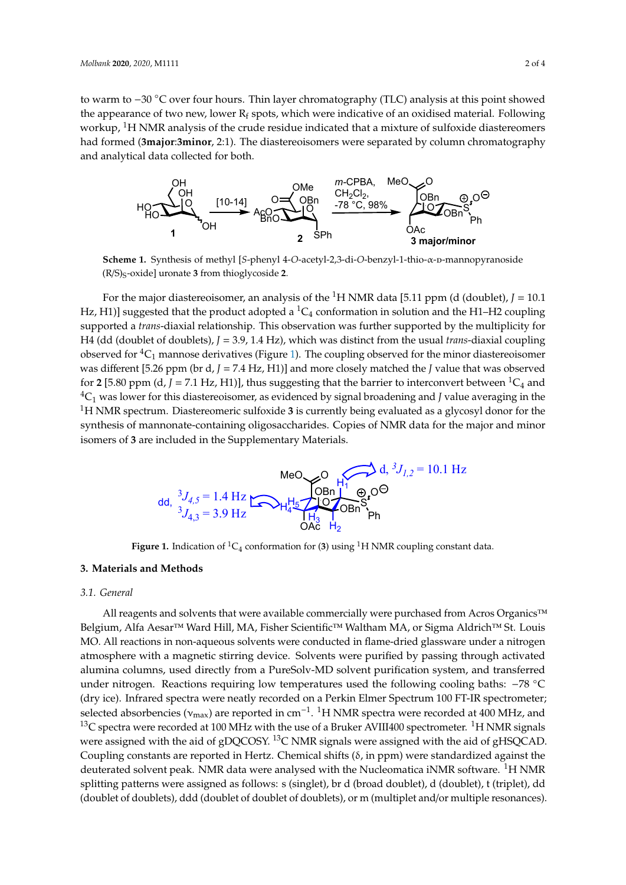to warm to  $-30$  °C over four hours. Thin layer chromatography (TLC) analysis at this point showed the appearance of two new, lower  $R_f$  spots, which were indicative of an oxidised material. Following workup,  ${}^{1}$ H NMR analysis of the crude residue indicated that a mixture of sulfoxide diastereomers had formed (3major:3minor, 2:1). The diastereoisomers were separated by column chromatography and analytical data collected for both.

<span id="page-1-0"></span>

Scheme 1. Synthesis of methyl [S-phenyl 4-O-acetyl-2,3-di-O-benzyl-1-thio- $\alpha$ -D-mannopyranoside mannopyranoside (R/S)S-oxide] uronate **3** from thioglycoside **2**. (R/S)S-oxide] uronate **3** from thioglycoside **2**. mannopyranoside (R/S)S-oxide] uronate **3** from thioglycoside **2**.

For the major diastereoisomer, an analysis of the 1H NMR data [5.11 ppm (d (doublet), *J* = 10.1 Hz, H1)] suggested that the product adopted a <sup>1</sup>C<sub>4</sub> conformation in solution and the H1–H2 coupling supported a *trans*-diaxial relationship. This observation was further supported by the multiplicity for H4 (dd (doublet of doublets), *J* = 3.9, 1.4 Hz), which was distinct from the usual *trans*-diaxial coupling observed for  ${}^4C_1$  mannose derivatives ([Fi](#page-1-1)gure 1). The coupling observed for the minor diastereoisomer was different [5.26 ppm (br d, J = 7.4 Hz, H1)] and more closely matched the J value that was observed for 2 [5.80 ppm (d,  $J = 7.1$  Hz, H1)], thus suggesting that the barrier to interconvert between <sup>1</sup>C<sub>4</sub> and  $\mathcal{L}_{1}$  was lower for this diastereoisomer, as evidenced by signal broadening and *J* vand averaging in the <sup>1</sup>H NMR spectrum. Diastereomeric sulfoxide 3 is currently being evaluated as a glycosyl donor for the synthesis of mannonate-containing oligosaccharides. Copies of NMR data for the major and minor isomers of 3 are included in the Supplementary Materials. For the major diastereoisomer, an analysis of the <sup>1</sup>H NMR data [5.11 ppm (d (doublet), *J* = 10.1 H4 (dd (doublet of doublets),  $J = 3.9$ , 1.4 Hz), which was distinct from the usual *trans*-diaxial coupling  ${}^4C_1$  was lower for this diastereoisomer, as evidenced by signal broadening and *J* value averaging in the

<span id="page-1-1"></span>

**Figure 1.** Indication of  ${}^{1}C_{4}$  conformation for (3) using  ${}^{1}H$  NMR coupling constant data.

### **3. Materials and Methods 3. Materials and Methods**

#### *3.1. General*

All reagents and solvents that were available commercially were purchased from Acros Organics<sup>™</sup> ium, Alfa Aesar™ Ward Hill, MA, Fisher Scientific™ Waltham MA, or Sigma Aldrich™ St. Louis MO. All reactions in non-aqueous solvents were conducted in flame-dried glassware under a nitrogen atmosphere with a magnetic stirring device. Solvents were purified by passing through activated alumina columns, used directly from a PureSolv-MD solvent purification system, and transferred under nitrogen. Reactions requiring low temperatures used the following cooling baths:  $-78$  °C Belgium, Alfa Aesar<sup>TM</sup> Ward Hill, MA, Fisher Scientific<sup>TM</sup> Waltham MA, or Sigma Aldrich<sup>TM</sup> St. Louis MO. All reactions in non-aqueous solvents were conducted in flame-dried glassware under a nitrogen atmosphere with a selected absorbencies ( $v_{\text{max}}$ ) are reported in cm<sup>-1</sup>. <sup>1</sup>H NMR spectra were recorded at 400 MHz, and <sup>13</sup>C spectra were recorded at 100 MHz with the use of a Bruker AVIII400 spectrometer. <sup>1</sup>H NMR signals were assigned with the aid of gDQCOSY. <sup>13</sup>C NMR signals were assigned with the aid of gHSQCAD. were assigned with the aid of gDQCOSY.  ${}^{13}$ C NMR signals were assigned with the aid of gHSQCAD. Coupling constants are reported in Hertz. Chemical shifts ( $\delta$ , in ppm) were standardized against the deuterated solvent peak. NMR data were analysed with the Nucleomatica iNMR software. <sup>1</sup>H NMR deuterated solvent peak. NMR data were analysed with the Nucleomatica iNMR software. <sup>1</sup>H NMR splitting patterns were assigned as follows: s (singlet), br d (broad doublet), d (doublet), t (triplet), dd (doublet of doublets), ddd (doublet of doublet of doublets), or m (multiplet and/or multiple resonances). (doublet of doublets), ddd (doublet of doublet of doublets), or m (multiplet and/or multiple resonances).<br>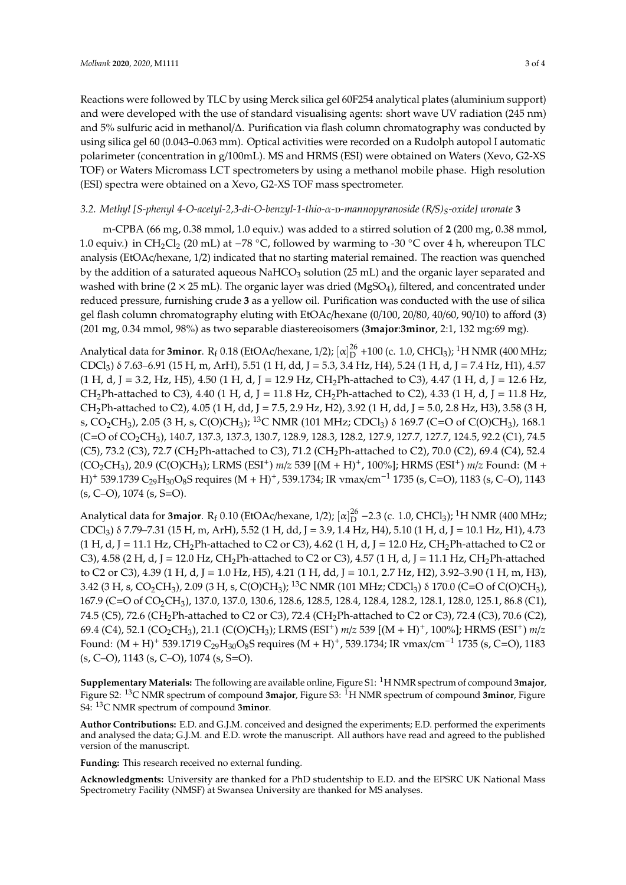Reactions were followed by TLC by using Merck silica gel 60F254 analytical plates (aluminium support) and were developed with the use of standard visualising agents: short wave UV radiation (245 nm) and 5% sulfuric acid in methanol/∆. Purification via flash column chromatography was conducted by using silica gel 60 (0.043–0.063 mm). Optical activities were recorded on a Rudolph autopol I automatic polarimeter (concentration in g/100mL). MS and HRMS (ESI) were obtained on Waters (Xevo, G2-XS TOF) or Waters Micromass LCT spectrometers by using a methanol mobile phase. High resolution (ESI) spectra were obtained on a Xevo, G2-XS TOF mass spectrometer.

#### *3.2. Methyl [S-phenyl 4-O-acetyl-2,3-di-O-benzyl-1-thio-*α*-*d*-mannopyranoside (R*/*S)S-oxide] uronate* **3**

m-CPBA (66 mg, 0.38 mmol, 1.0 equiv.) was added to a stirred solution of **2** (200 mg, 0.38 mmol, 1.0 equiv.) in CH2Cl<sup>2</sup> (20 mL) at <sup>−</sup><sup>78</sup> ◦C, followed by warming to -30 ◦C over 4 h, whereupon TLC analysis (EtOAc/hexane, 1/2) indicated that no starting material remained. The reaction was quenched by the addition of a saturated aqueous NaHCO<sub>3</sub> solution (25 mL) and the organic layer separated and washed with brine ( $2 \times 25$  mL). The organic layer was dried (MgSO<sub>4</sub>), filtered, and concentrated under reduced pressure, furnishing crude **3** as a yellow oil. Purification was conducted with the use of silica gel flash column chromatography eluting with EtOAc/hexane (0/100, 20/80, 40/60, 90/10) to afford (**3**) (201 mg, 0.34 mmol, 98%) as two separable diastereoisomers (**3major**:**3minor**, 2:1, 132 mg:69 mg).

Analytical data for **3minor**.  $R_f$  0.18 (EtOAc/hexane, 1/2);  $[\alpha]_D^{26}$  +100 (c. 1.0, CHCl<sub>3</sub>); <sup>1</sup>H NMR (400 MHz; CDCl<sub>3</sub>)  $\delta$  7.63–6.91 (15 H, m, ArH), 5.51 (1 H, dd, J = 5.3, 3.4 Hz, H4), 5.24 (1 H, d, J = 7.4 Hz, H1), 4.57  $(1 \text{ H}, \text{ d}, \text{ J} = 3.2, \text{ Hz}, \text{ H5}, 4.50 \text{ (1 H}, \text{ d}, \text{ J} = 12.9 \text{ Hz}, \text{ CH}_2\text{Ph-attached to C3}), 4.47 \text{ (1 H}, \text{ d}, \text{ J} = 12.6 \text{ Hz},$ CH<sub>2</sub>Ph-attached to C3), 4.40 (1 H, d, J = 11.8 Hz, CH<sub>2</sub>Ph-attached to C2), 4.33 (1 H, d, J = 11.8 Hz, CH<sub>2</sub>Ph-attached to C2), 4.05 (1 H, dd, J = 7.5, 2.9 Hz, H2), 3.92 (1 H, dd, J = 5.0, 2.8 Hz, H3), 3.58 (3 H, s, CO<sub>2</sub>CH<sub>3</sub>), 2.05 (3 H, s, C(O)CH<sub>3</sub>); <sup>13</sup>C NMR (101 MHz; CDCl<sub>3</sub>) δ 169.7 (C=O of C(O)CH<sub>3</sub>), 168.1 (C=O of CO2CH3), 140.7, 137.3, 137.3, 130.7, 128.9, 128.3, 128.2, 127.9, 127.7, 127.7, 124.5, 92.2 (C1), 74.5 (C5), 73.2 (C3), 72.7 (CH<sub>2</sub>Ph-attached to C3), 71.2 (CH<sub>2</sub>Ph-attached to C2), 70.0 (C2), 69.4 (C4), 52.4 (CO2CH3), 20.9 (C(O)CH3); LRMS (ESI+) *m*/*z* 539 [(M + H)+, 100%]; HRMS (ESI+) *m*/*z* Found: (M + H)<sup>+</sup> 539.1739 C<sub>29</sub>H<sub>30</sub>O<sub>8</sub>S requires (M + H)<sup>+</sup>, 539.1734; IR vmax/cm<sup>-1</sup> 1735 (s, C=O), 1183 (s, C−O), 1143  $(s, C-O)$ , 1074  $(s, S=O)$ .

Analytical data for **3major**.  $R_f$  0.10 (EtOAc/hexane, 1/2);  $[\alpha]_D^{26}$  –2.3 (c. 1.0, CHCl<sub>3</sub>); <sup>1</sup>H NMR (400 MHz; CDCl3) δ 7.79–7.31 (15 H, m, ArH), 5.52 (1 H, dd, J = 3.9, 1.4 Hz, H4), 5.10 (1 H, d, J = 10.1 Hz, H1), 4.73  $(1 H, d, J = 11.1 Hz, CH<sub>2</sub>Ph-attached to C2 or C3), 4.62 (1 H, d, J = 12.0 Hz, CH<sub>2</sub>Ph-attached to C2 or C3).$ C3), 4.58 (2 H, d, J = 12.0 Hz, CH<sub>2</sub>Ph-attached to C2 or C3), 4.57 (1 H, d, J = 11.1 Hz, CH<sub>2</sub>Ph-attached to C2 or C3), 4.39 (1 H, d, J = 1.0 Hz, H5), 4.21 (1 H, dd, J = 10.1, 2.7 Hz, H2), 3.92–3.90 (1 H, m, H3), 3.42 (3 H, s, CO<sub>2</sub>CH<sub>3</sub>), 2.09 (3 H, s, C(O)CH<sub>3</sub>); <sup>13</sup>C NMR (101 MHz; CDCl<sub>3</sub>)  $\delta$  170.0 (C=O of C(O)CH<sub>3</sub>), 167.9 (C=O of CO<sub>2</sub>CH<sub>3</sub>), 137.0, 137.0, 130.6, 128.6, 128.5, 128.4, 128.4, 128.2, 128.1, 128.0, 125.1, 86.8 (C1), 74.5 (C5), 72.6 (CH<sub>2</sub>Ph-attached to C2 or C3), 72.4 (CH<sub>2</sub>Ph-attached to C2 or C3), 72.4 (C3), 70.6 (C2), 69.4 (C4), 52.1 (CO2CH3), 21.1 (C(O)CH3); LRMS (ESI+) *m*/*z* 539 [(M + H)+, 100%]; HRMS (ESI+) *m*/*z* Found:  $(M + H)^+$  539.1719 C<sub>29</sub>H<sub>30</sub>O<sub>8</sub>S requires  $(M + H)^+$ , 539.1734; IR vmax/cm<sup>-1</sup> 1735 (s, C=O), 1183 (s, C–O), 1143 (s, C–O), 1074 (s, S=O).

**Supplementary Materials:** The following are available online, Figure S1: <sup>1</sup>H NMR spectrum of compound **3major**, Figure S2: <sup>13</sup>C NMR spectrum of compound **3major**, Figure S3: <sup>1</sup>H NMR spectrum of compound **3minor**, Figure S4: <sup>13</sup>C NMR spectrum of compound **3minor**.

**Author Contributions:** E.D. and G.J.M. conceived and designed the experiments; E.D. performed the experiments and analysed the data; G.J.M. and E.D. wrote the manuscript. All authors have read and agreed to the published version of the manuscript.

**Funding:** This research received no external funding.

**Acknowledgments:** University are thanked for a PhD studentship to E.D. and the EPSRC UK National Mass Spectrometry Facility (NMSF) at Swansea University are thanked for MS analyses.